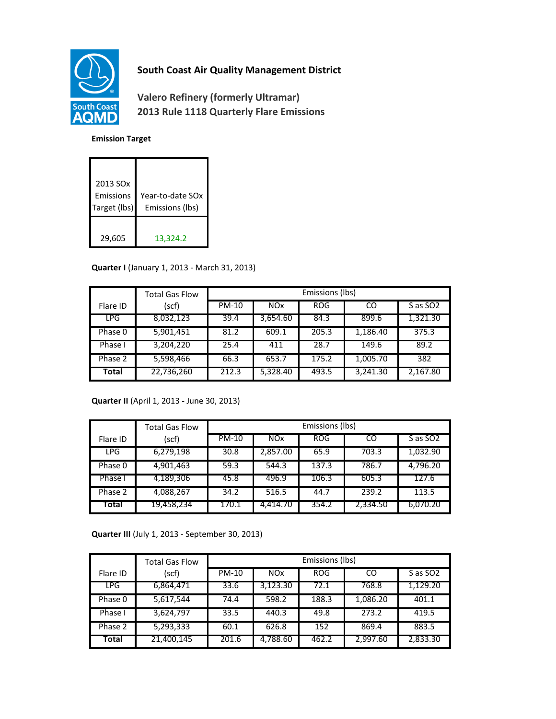

## **South Coast Air Quality Management District**

**Valero Refinery (formerly Ultramar) 2013 Rule 1118 Quarterly Flare Emissions**

## **Emission Target**

| 2013 SO <sub>x</sub><br>Emissions<br>Target (lbs) | Year-to-date SOx<br>Emissions (lbs) |
|---------------------------------------------------|-------------------------------------|
| 29,605                                            | 13,324.2                            |

## **Quarter I** (January 1, 2013 - March 31, 2013)

|          | <b>Total Gas Flow</b> | Emissions (lbs) |                       |            |          |                      |
|----------|-----------------------|-----------------|-----------------------|------------|----------|----------------------|
| Flare ID | (scf)                 | <b>PM-10</b>    | <b>NO<sub>x</sub></b> | <b>ROG</b> | CO       | S as SO <sub>2</sub> |
| LPG      | 8,032,123             | 39.4            | 3,654.60              | 84.3       | 899.6    | 1,321.30             |
| Phase 0  | 5,901,451             | 81.2            | 609.1                 | 205.3      | 1,186.40 | 375.3                |
| Phase I  | 3,204,220             | 25.4            | 411                   | 28.7       | 149.6    | 89.2                 |
| Phase 2  | 5,598,466             | 66.3            | 653.7                 | 175.2      | 1,005.70 | 382                  |
| Total    | 22,736,260            | 212.3           | 5,328.40              | 493.5      | 3,241.30 | 2,167.80             |

## **Quarter II** (April 1, 2013 - June 30, 2013)

|            | <b>Total Gas Flow</b> | Emissions (lbs) |            |            |          |                      |
|------------|-----------------------|-----------------|------------|------------|----------|----------------------|
| Flare ID   | (scf)                 | PM-10           | <b>NOx</b> | <b>ROG</b> | CO       | S as SO <sub>2</sub> |
| <b>LPG</b> | 6,279,198             | 30.8            | 2,857.00   | 65.9       | 703.3    | 1,032.90             |
| Phase 0    | 4,901,463             | 59.3            | 544.3      | 137.3      | 786.7    | 4,796.20             |
| Phase I    | 4,189,306             | 45.8            | 496.9      | 106.3      | 605.3    | 127.6                |
| Phase 2    | 4,088,267             | 34.2            | 516.5      | 44.7       | 239.2    | 113.5                |
| Total      | 19,458,234            | 170.1           | 4.414.70   | 354.2      | 2,334.50 | 6,070.20             |

**Quarter III** (July 1, 2013 - September 30, 2013)

|          | <b>Total Gas Flow</b> | Emissions (lbs) |            |            |          |                      |
|----------|-----------------------|-----------------|------------|------------|----------|----------------------|
| Flare ID | (scf)                 | PM-10           | <b>NOx</b> | <b>ROG</b> | CO       | S as SO <sub>2</sub> |
| LPG      | 6,864,471             | 33.6            | 3,123.30   | 72.1       | 768.8    | 1,129.20             |
| Phase 0  | 5,617,544             | 74.4            | 598.2      | 188.3      | 1,086.20 | 401.1                |
| Phase I  | 3,624,797             | 33.5            | 440.3      | 49.8       | 273.2    | 419.5                |
| Phase 2  | 5,293,333             | 60.1            | 626.8      | 152        | 869.4    | 883.5                |
| Total    | 21,400,145            | 201.6           | 4,788.60   | 462.2      | 2,997.60 | 2,833.30             |